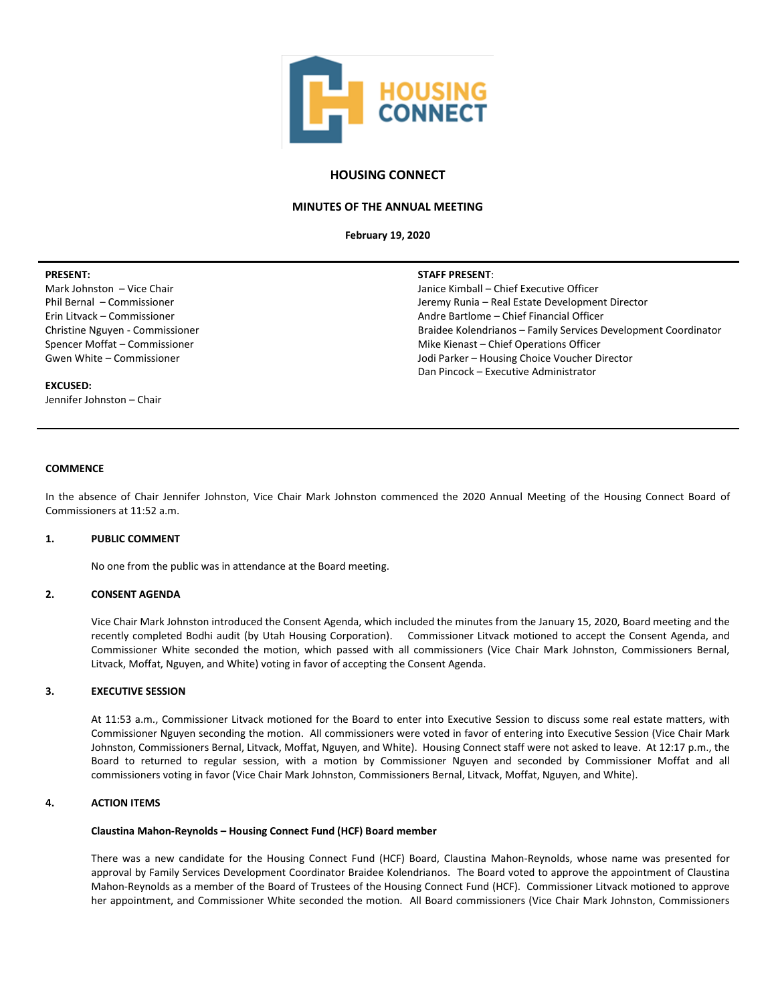

# **HOUSING CONNECT**

## **MINUTES OF THE ANNUAL MEETING**

**February 19, 2020**

### **PRESENT:**

Mark Johnston – Vice Chair Phil Bernal – Commissioner Erin Litvack – Commissioner Christine Nguyen - Commissioner Spencer Moffat – Commissioner Gwen White – Commissioner

#### **STAFF PRESENT**:

Janice Kimball – Chief Executive Officer Jeremy Runia – Real Estate Development Director Andre Bartlome – Chief Financial Officer Braidee Kolendrianos – Family Services Development Coordinator Mike Kienast – Chief Operations Officer Jodi Parker – Housing Choice Voucher Director Dan Pincock – Executive Administrator

### **EXCUSED:** Jennifer Johnston – Chair

# **COMMENCE**

In the absence of Chair Jennifer Johnston, Vice Chair Mark Johnston commenced the 2020 Annual Meeting of the Housing Connect Board of Commissioners at 11:52 a.m.

### **1. PUBLIC COMMENT**

No one from the public was in attendance at the Board meeting.

### **2. CONSENT AGENDA**

Vice Chair Mark Johnston introduced the Consent Agenda, which included the minutes from the January 15, 2020, Board meeting and the recently completed Bodhi audit (by Utah Housing Corporation). Commissioner Litvack motioned to accept the Consent Agenda, and Commissioner White seconded the motion, which passed with all commissioners (Vice Chair Mark Johnston, Commissioners Bernal, Litvack, Moffat, Nguyen, and White) voting in favor of accepting the Consent Agenda.

### **3. EXECUTIVE SESSION**

At 11:53 a.m., Commissioner Litvack motioned for the Board to enter into Executive Session to discuss some real estate matters, with Commissioner Nguyen seconding the motion. All commissioners were voted in favor of entering into Executive Session (Vice Chair Mark Johnston, Commissioners Bernal, Litvack, Moffat, Nguyen, and White). Housing Connect staff were not asked to leave. At 12:17 p.m., the Board to returned to regular session, with a motion by Commissioner Nguyen and seconded by Commissioner Moffat and all commissioners voting in favor (Vice Chair Mark Johnston, Commissioners Bernal, Litvack, Moffat, Nguyen, and White).

# **4. ACTION ITEMS**

#### **Claustina Mahon-Reynolds – Housing Connect Fund (HCF) Board member**

There was a new candidate for the Housing Connect Fund (HCF) Board, Claustina Mahon-Reynolds, whose name was presented for approval by Family Services Development Coordinator Braidee Kolendrianos. The Board voted to approve the appointment of Claustina Mahon-Reynolds as a member of the Board of Trustees of the Housing Connect Fund (HCF). Commissioner Litvack motioned to approve her appointment, and Commissioner White seconded the motion. All Board commissioners (Vice Chair Mark Johnston, Commissioners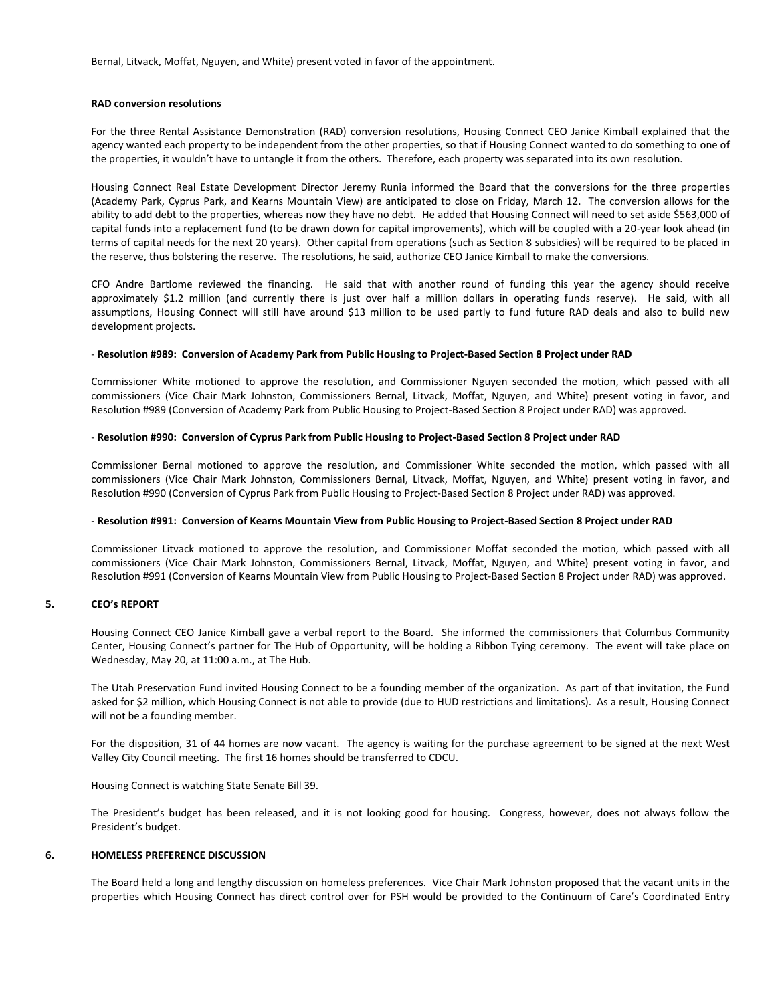Bernal, Litvack, Moffat, Nguyen, and White) present voted in favor of the appointment.

### **RAD conversion resolutions**

For the three Rental Assistance Demonstration (RAD) conversion resolutions, Housing Connect CEO Janice Kimball explained that the agency wanted each property to be independent from the other properties, so that if Housing Connect wanted to do something to one of the properties, it wouldn't have to untangle it from the others. Therefore, each property was separated into its own resolution.

Housing Connect Real Estate Development Director Jeremy Runia informed the Board that the conversions for the three properties (Academy Park, Cyprus Park, and Kearns Mountain View) are anticipated to close on Friday, March 12. The conversion allows for the ability to add debt to the properties, whereas now they have no debt. He added that Housing Connect will need to set aside \$563,000 of capital funds into a replacement fund (to be drawn down for capital improvements), which will be coupled with a 20-year look ahead (in terms of capital needs for the next 20 years). Other capital from operations (such as Section 8 subsidies) will be required to be placed in the reserve, thus bolstering the reserve. The resolutions, he said, authorize CEO Janice Kimball to make the conversions.

CFO Andre Bartlome reviewed the financing. He said that with another round of funding this year the agency should receive approximately \$1.2 million (and currently there is just over half a million dollars in operating funds reserve). He said, with all assumptions, Housing Connect will still have around \$13 million to be used partly to fund future RAD deals and also to build new development projects.

## - **Resolution #989: Conversion of Academy Park from Public Housing to Project-Based Section 8 Project under RAD**

Commissioner White motioned to approve the resolution, and Commissioner Nguyen seconded the motion, which passed with all commissioners (Vice Chair Mark Johnston, Commissioners Bernal, Litvack, Moffat, Nguyen, and White) present voting in favor, and Resolution #989 (Conversion of Academy Park from Public Housing to Project-Based Section 8 Project under RAD) was approved.

### - **Resolution #990: Conversion of Cyprus Park from Public Housing to Project-Based Section 8 Project under RAD**

Commissioner Bernal motioned to approve the resolution, and Commissioner White seconded the motion, which passed with all commissioners (Vice Chair Mark Johnston, Commissioners Bernal, Litvack, Moffat, Nguyen, and White) present voting in favor, and Resolution #990 (Conversion of Cyprus Park from Public Housing to Project-Based Section 8 Project under RAD) was approved.

#### - **Resolution #991: Conversion of Kearns Mountain View from Public Housing to Project-Based Section 8 Project under RAD**

Commissioner Litvack motioned to approve the resolution, and Commissioner Moffat seconded the motion, which passed with all commissioners (Vice Chair Mark Johnston, Commissioners Bernal, Litvack, Moffat, Nguyen, and White) present voting in favor, and Resolution #991 (Conversion of Kearns Mountain View from Public Housing to Project-Based Section 8 Project under RAD) was approved.

## **5. CEO's REPORT**

Housing Connect CEO Janice Kimball gave a verbal report to the Board. She informed the commissioners that Columbus Community Center, Housing Connect's partner for The Hub of Opportunity, will be holding a Ribbon Tying ceremony. The event will take place on Wednesday, May 20, at 11:00 a.m., at The Hub.

The Utah Preservation Fund invited Housing Connect to be a founding member of the organization. As part of that invitation, the Fund asked for \$2 million, which Housing Connect is not able to provide (due to HUD restrictions and limitations). As a result, Housing Connect will not be a founding member.

For the disposition, 31 of 44 homes are now vacant. The agency is waiting for the purchase agreement to be signed at the next West Valley City Council meeting. The first 16 homes should be transferred to CDCU.

Housing Connect is watching State Senate Bill 39.

The President's budget has been released, and it is not looking good for housing. Congress, however, does not always follow the President's budget.

## **6. HOMELESS PREFERENCE DISCUSSION**

The Board held a long and lengthy discussion on homeless preferences. Vice Chair Mark Johnston proposed that the vacant units in the properties which Housing Connect has direct control over for PSH would be provided to the Continuum of Care's Coordinated Entry